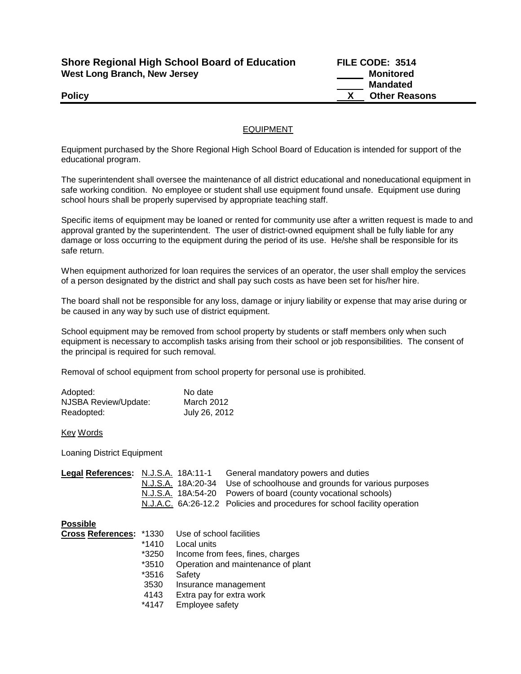| <b>Shore Regional High School Board of Education</b> |  |
|------------------------------------------------------|--|
| West Long Branch, New Jersey                         |  |

**Shore Regional High School Board of Education FILE CODE: 3514 Monitored Mandated Policy X** Other Reasons

## EQUIPMENT

Equipment purchased by the Shore Regional High School Board of Education is intended for support of the educational program.

The superintendent shall oversee the maintenance of all district educational and noneducational equipment in safe working condition. No employee or student shall use equipment found unsafe. Equipment use during school hours shall be properly supervised by appropriate teaching staff.

Specific items of equipment may be loaned or rented for community use after a written request is made to and approval granted by the superintendent. The user of district-owned equipment shall be fully liable for any damage or loss occurring to the equipment during the period of its use. He/she shall be responsible for its safe return.

When equipment authorized for loan requires the services of an operator, the user shall employ the services of a person designated by the district and shall pay such costs as have been set for his/her hire.

The board shall not be responsible for any loss, damage or injury liability or expense that may arise during or be caused in any way by such use of district equipment.

School equipment may be removed from school property by students or staff members only when such equipment is necessary to accomplish tasks arising from their school or job responsibilities. The consent of the principal is required for such removal.

Removal of school equipment from school property for personal use is prohibited.

| Adopted:                    | No date       |
|-----------------------------|---------------|
| <b>NJSBA Review/Update:</b> | March 2012    |
| Readopted:                  | July 26, 2012 |

## Key Words

Loaning District Equipment

|  | General mandatory powers and duties                                       |
|--|---------------------------------------------------------------------------|
|  | N.J.S.A. 18A:20-34 Use of schoolhouse and grounds for various purposes    |
|  | N.J.S.A. 18A:54-20 Powers of board (county vocational schools)            |
|  | N.J.A.C. 6A:26-12.2 Policies and procedures for school facility operation |
|  | Legal References: N.J.S.A. 18A:11-1                                       |

**Possible**

| Cross References: *1330 |         | Use of school facilities           |
|-------------------------|---------|------------------------------------|
|                         | $*1410$ | Local units                        |
|                         | *3250   | Income from fees, fines, charges   |
|                         | *3510   | Operation and maintenance of plant |
|                         | *3516   | Safety                             |
|                         | 3530    | Insurance management               |
|                         | 4143    | Extra pay for extra work           |
|                         | *4147   | Employee safety                    |